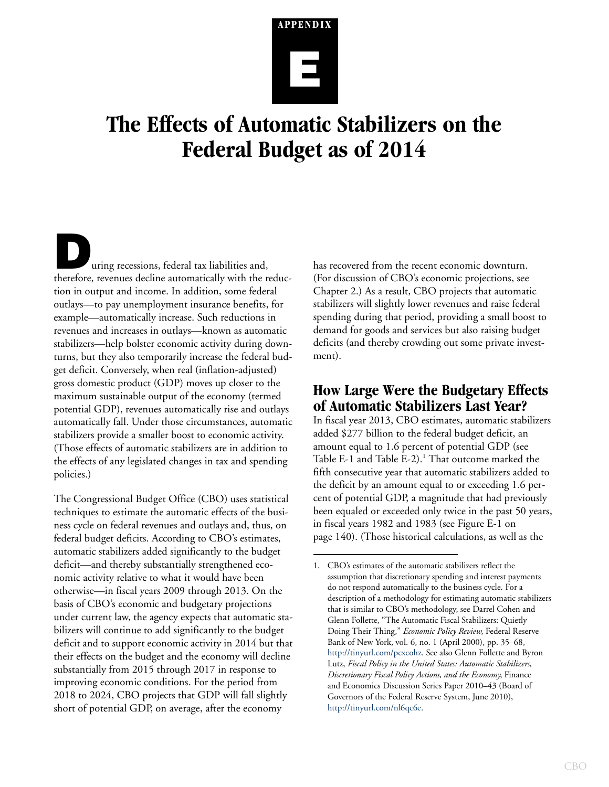# **APPENDIX E**

# **The Effects of Automatic Stabilizers on the Federal Budget as of 2014**

uring recessions, federal tax liabilities and, therefore, revenues decline automatically with the reduction in output and income. In addition, some federal outlays—to pay unemployment insurance benefits, for example—automatically increase. Such reductions in revenues and increases in outlays—known as automatic stabilizers—help bolster economic activity during downturns, but they also temporarily increase the federal budget deficit. Conversely, when real (inflation-adjusted) gross domestic product (GDP) moves up closer to the maximum sustainable output of the economy (termed potential GDP), revenues automatically rise and outlays automatically fall. Under those circumstances, automatic stabilizers provide a smaller boost to economic activity. (Those effects of automatic stabilizers are in addition to the effects of any legislated changes in tax and spending policies.)

The Congressional Budget Office (CBO) uses statistical techniques to estimate the automatic effects of the business cycle on federal revenues and outlays and, thus, on federal budget deficits. According to CBO's estimates, automatic stabilizers added significantly to the budget deficit—and thereby substantially strengthened economic activity relative to what it would have been otherwise—in fiscal years 2009 through 2013. On the basis of CBO's economic and budgetary projections under current law, the agency expects that automatic stabilizers will continue to add significantly to the budget deficit and to support economic activity in 2014 but that their effects on the budget and the economy will decline substantially from 2015 through 2017 in response to improving economic conditions. For the period from 2018 to 2024, CBO projects that GDP will fall slightly short of potential GDP, on average, after the economy

has recovered from the recent economic downturn. (For discussion of CBO's economic projections, see Chapter 2.) As a result, CBO projects that automatic stabilizers will slightly lower revenues and raise federal spending during that period, providing a small boost to demand for goods and services but also raising budget deficits (and thereby crowding out some private investment).

# **How Large Were the Budgetary Effects of Automatic Stabilizers Last Year?**

In fiscal year 2013, CBO estimates, automatic stabilizers added \$277 billion to the federal budget deficit, an amount equal to 1.6 percent of potential GDP (see [Table E-1](#page-1-0) and [Table E-2\)](#page-3-0).<sup>1</sup> That outcome marked the fifth consecutive year that automatic stabilizers added to the deficit by an amount equal to or exceeding 1.6 percent of potential GDP, a magnitude that had previously been equaled or exceeded only twice in the past 50 years, in fiscal years 1982 and 1983 (see [Figure E-1 on](#page-5-0)  [page 140\)](#page-5-0). (Those historical calculations, as well as the

<sup>1.</sup> CBO's estimates of the automatic stabilizers reflect the assumption that discretionary spending and interest payments do not respond automatically to the business cycle. For a description of a methodology for estimating automatic stabilizers that is similar to CBO's methodology, see Darrel Cohen and Glenn Follette, "The Automatic Fiscal Stabilizers: Quietly Doing Their Thing," *Economic Policy Review*, Federal Reserve Bank of New York, vol. 6, no. 1 (April 2000), pp. 35–68, [http://tinyurl.com/pcxcohz.](http://tinyurl.com/pcxcohz) See also Glenn Follette and Byron Lutz, *Fiscal Policy in the United States: Automatic Stabilizers, Discretionary Fiscal Policy Actions, and the Economy*, Finance and Economics Discussion Series Paper 2010–43 (Board of Governors of the Federal Reserve System, June 2010)[,](http://tinyurl.com/nl6qc6e) <http://tinyurl.com/nl6qc6e>.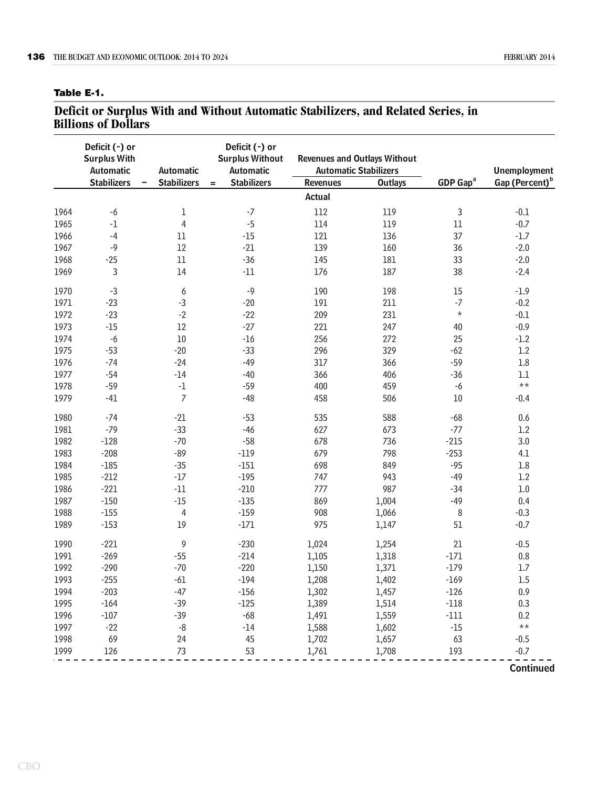#### <span id="page-1-0"></span>**Table E-1.**

#### **Deficit or Surplus With and Without Automatic Stabilizers, and Related Series, in Billions of Dollars**

|      | Deficit (-) or<br><b>Surplus With</b><br>Automatic | Automatic          | Deficit (-) or<br><b>Surplus Without</b><br>Automatic |                 | <b>Revenues and Outlays Without</b><br><b>Automatic Stabilizers</b> |                      | <b>Unemployment</b>        |
|------|----------------------------------------------------|--------------------|-------------------------------------------------------|-----------------|---------------------------------------------------------------------|----------------------|----------------------------|
|      | <b>Stabilizers</b>                                 | <b>Stabilizers</b> | <b>Stabilizers</b><br>$=$                             | <b>Revenues</b> | <b>Outlays</b>                                                      | GDP Gap <sup>a</sup> | Gap (Percent) <sup>b</sup> |
|      |                                                    |                    |                                                       | Actual          |                                                                     |                      |                            |
| 1964 | $-6$                                               | $\mathbf 1$        | $-7$                                                  | 112             | 119                                                                 | 3                    | $-0.1$                     |
| 1965 | $^{\rm -1}$                                        | $\overline{4}$     | $-5$                                                  | 114             | 119                                                                 | $11\,$               | $-0.7$                     |
| 1966 | $-4$                                               | 11                 | $-15$                                                 | 121             | 136                                                                 | 37                   | $-1.7$                     |
| 1967 | $-9$                                               | 12                 | $-21$                                                 | 139             | 160                                                                 | 36                   | $-2.0$                     |
| 1968 | $-25$                                              | $11\,$             | $-36$                                                 | 145             | 181                                                                 | 33                   | $-2.0$                     |
| 1969 | $\mathbf{3}$                                       | 14                 | $-11$                                                 | 176             | 187                                                                 | 38                   | $-2.4$                     |
| 1970 | $-3$                                               | 6                  | $-9$                                                  | 190             | 198                                                                 | $15\,$               | $-1.9$                     |
| 1971 | $-23$                                              | $-3$               | $-20$                                                 | 191             | 211                                                                 | $-7$                 | $-0.2$                     |
| 1972 | $-23$                                              | $-2$               | $-22$                                                 | 209             | 231                                                                 | $\star$              | $-0.1$                     |
| 1973 | $-15$                                              | 12                 | $-27$                                                 | 221             | 247                                                                 | 40                   | $-0.9$                     |
| 1974 | $-6$                                               | $10\,$             | $-16$                                                 | 256             | 272                                                                 | 25                   | $-1.2$                     |
| 1975 | $-53$                                              | $-20$              | $-33$                                                 | 296             | 329                                                                 | $-62$                | 1.2                        |
| 1976 | $-74$                                              | $-24$              | $-49$                                                 | 317             | 366                                                                 | $-59$                | 1.8                        |
| 1977 | $-54$                                              | $-14$              | $-40$                                                 | 366             | 406                                                                 | $-36$                | $1.1\,$                    |
| 1978 | $-59$                                              | $^{\mbox{-}1}$     | $-59$                                                 | 400             | 459                                                                 | $-6$                 | $\star\star$               |
| 1979 | $-41$                                              | $\overline{7}$     | $-48$                                                 | 458             | 506                                                                 | $10\,$               | $-0.4$                     |
| 1980 | $-74$                                              | $-21$              | $-53$                                                 | 535             | 588                                                                 | $-68$                | 0.6                        |
| 1981 | $-79$                                              | $-33$              | $-46$                                                 | 627             | 673                                                                 | $-77$                | 1.2                        |
| 1982 | $-128$                                             | $-70$              | $-58$                                                 | 678             | 736                                                                 | $-215$               | 3.0                        |
| 1983 | $-208$                                             | $-89$              | $-119$                                                | 679             | 798                                                                 | $-253$               | 4.1                        |
| 1984 | $-185$                                             | $-35$              | $-151$                                                | 698             | 849                                                                 | $-95$                | $1.8\,$                    |
| 1985 | $-212$                                             | $-17$              | $-195$                                                | 747             | 943                                                                 | $-49$                | 1.2                        |
| 1986 | $-221$                                             | $\textnormal{-}11$ | $-210$                                                | 777             | 987                                                                 | $-34$                | $1.0\,$                    |
| 1987 | $-150$                                             | $-15$              | $-135$                                                | 869             | 1,004                                                               | $-49$                | 0.4                        |
| 1988 | $-155$                                             | $\overline{4}$     | $-159$                                                | 908             | 1,066                                                               | 8                    | $-0.3$                     |
| 1989 | $-153$                                             | 19                 | $-171$                                                | 975             | 1,147                                                               | 51                   | $-0.7$                     |
| 1990 | $-221$                                             | 9                  | $-230$                                                | 1,024           | 1,254                                                               | 21                   | $-0.5$                     |
| 1991 | $-269$                                             | $-55$              | $-214$                                                | 1,105           | 1,318                                                               | $-171$               | $0.8\,$                    |
| 1992 | $-290$                                             | $-70$              | $-220$                                                | 1,150           | 1,371                                                               | $-179$               | $1.7\,$                    |
| 1993 | $-255$                                             | $-61$              | $-194$                                                | 1,208           | 1,402                                                               | $-169$               | 1.5                        |
| 1994 | $-203$                                             | $-47$              | $-156$                                                | 1,302           | 1,457                                                               | $-126$               | 0.9                        |
| 1995 | $-164$                                             | $-39$              | $-125$                                                | 1,389           | 1,514                                                               | $-118$               | 0.3                        |
| 1996 | $-107$                                             | $-39$              | $-68$                                                 | 1,491           | 1,559                                                               | $-111$               | 0.2                        |
| 1997 | $-22$                                              | $-8$               | $-14$                                                 | 1,588           | 1,602                                                               | $-15$                | $\star\,\star$             |
| 1998 | 69                                                 | 24                 | 45                                                    | 1,702           | 1,657                                                               | 63                   | $-0.5$                     |
| 1999 | 126                                                | 73                 | 53                                                    | 1,761           | 1,708                                                               | 193                  | $-0.7$                     |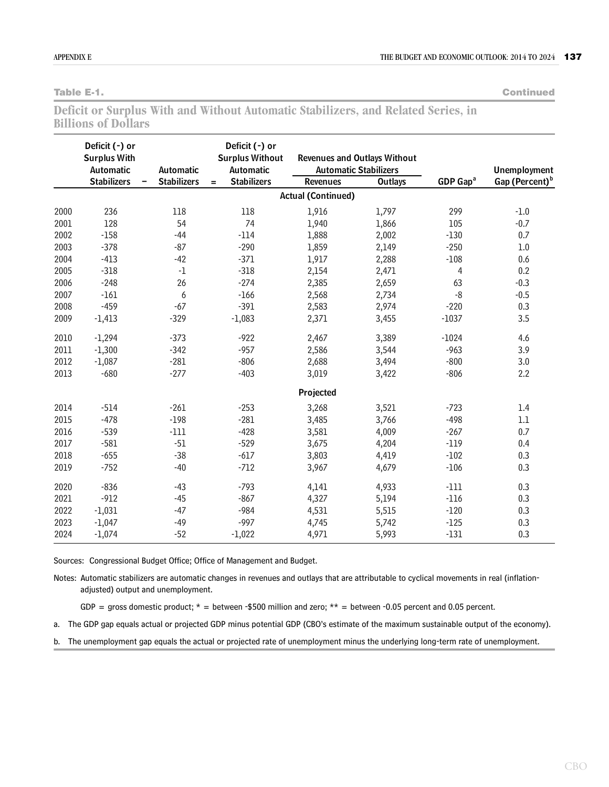**Table E-1. Continued**

|                            |  |  | Deficit or Surplus With and Without Automatic Stabilizers, and Related Series, in |  |  |
|----------------------------|--|--|-----------------------------------------------------------------------------------|--|--|
| <b>Billions of Dollars</b> |  |  |                                                                                   |  |  |

|      | Deficit (-) or<br><b>Surplus With</b><br>Automatic | Automatic          |                           |                           | <b>Revenues and Outlays Without</b><br><b>Automatic Stabilizers</b> |                      | <b>Unemployment</b>        |  |
|------|----------------------------------------------------|--------------------|---------------------------|---------------------------|---------------------------------------------------------------------|----------------------|----------------------------|--|
|      | <b>Stabilizers</b>                                 | <b>Stabilizers</b> | <b>Stabilizers</b><br>$=$ | <b>Revenues</b>           | <b>Outlays</b>                                                      | GDP Gap <sup>a</sup> | Gap (Percent) <sup>b</sup> |  |
|      |                                                    |                    |                           | <b>Actual (Continued)</b> |                                                                     |                      |                            |  |
| 2000 | 236                                                | 118                | 118                       | 1,916                     | 1,797                                                               | 299                  | $-1.0$                     |  |
| 2001 | 128                                                | 54                 | 74                        | 1,940                     | 1,866                                                               | 105                  | $-0.7$                     |  |
| 2002 | $-158$                                             | $-44$              | $-114$                    | 1,888                     | 2,002                                                               | $-130$               | 0.7                        |  |
| 2003 | $-378$                                             | $-87$              | $-290$                    | 1,859                     | 2,149                                                               | $-250$               | 1.0                        |  |
| 2004 | $-413$                                             | $-42$              | $-371$                    | 1,917                     | 2,288                                                               | $-108$               | 0.6                        |  |
| 2005 | $-318$                                             | $-1$               | $-318$                    | 2,154                     | 2,471                                                               | 4                    | 0.2                        |  |
| 2006 | $-248$                                             | 26                 | $-274$                    | 2,385                     | 2,659                                                               | 63                   | $-0.3$                     |  |
| 2007 | $-161$                                             | 6                  | $-166$                    | 2,568                     | 2,734                                                               | $-8$                 | $-0.5$                     |  |
| 2008 | $-459$                                             | $-67$              | $-391$                    | 2,583                     | 2,974                                                               | $-220$               | 0.3                        |  |
| 2009 | $-1,413$                                           | $-329$             | $-1,083$                  | 2,371                     | 3,455                                                               | $-1037$              | 3.5                        |  |
| 2010 | $-1,294$                                           | $-373$             | $-922$                    | 2,467                     | 3,389                                                               | $-1024$              | 4.6                        |  |
| 2011 | $-1,300$                                           | $-342$             | $-957$                    | 2,586                     | 3,544                                                               | $-963$               | 3.9                        |  |
| 2012 | $-1,087$                                           | $-281$             | $-806$                    | 2,688                     | 3,494                                                               | $-800$               | 3.0                        |  |
| 2013 | $-680$                                             | $-277$             | $-403$                    | 3,019                     | 3,422                                                               | $-806$               | 2.2                        |  |
|      |                                                    |                    |                           | Projected                 |                                                                     |                      |                            |  |
| 2014 | $-514$                                             | $-261$             | $-253$                    | 3,268                     | 3,521                                                               | $-723$               | 1.4                        |  |
| 2015 | $-478$                                             | $-198$             | $-281$                    | 3,485                     | 3,766                                                               | $-498$               | $1.1\,$                    |  |
| 2016 | $-539$                                             | $-111$             | $-428$                    | 3,581                     | 4,009                                                               | $-267$               | 0.7                        |  |
| 2017 | $-581$                                             | $-51$              | $-529$                    | 3,675                     | 4,204                                                               | $-119$               | 0.4                        |  |
| 2018 | $-655$                                             | $-38$              | $-617$                    | 3,803                     | 4,419                                                               | $-102$               | 0.3                        |  |
| 2019 | $-752$                                             | $-40$              | $-712$                    | 3,967                     | 4,679                                                               | $-106$               | 0.3                        |  |
| 2020 | $-836$                                             | $-43$              | $-793$                    | 4,141                     | 4,933                                                               | $-111$               | 0.3                        |  |
| 2021 | $-912$                                             | $-45$              | $-867$                    | 4,327                     | 5,194                                                               | $-116$               | 0.3                        |  |
| 2022 | $-1,031$                                           | $-47$              | $-984$                    | 4,531                     | 5,515                                                               | $-120$               | 0.3                        |  |
| 2023 | $-1,047$                                           | $-49$              | $-997$                    | 4,745                     | 5,742                                                               | $-125$               | 0.3                        |  |
| 2024 | $-1,074$                                           | $-52$              | $-1,022$                  | 4,971                     | 5,993                                                               | $-131$               | 0.3                        |  |

Sources: Congressional Budget Office; Office of Management and Budget.

Notes: Automatic stabilizers are automatic changes in revenues and outlays that are attributable to cyclical movements in real (inflationadjusted) output and unemployment.

GDP = gross domestic product;  $*$  = between -\$500 million and zero;  $**$  = between -0.05 percent and 0.05 percent.

a. The GDP gap equals actual or projected GDP minus potential GDP (CBO's estimate of the maximum sustainable output of the economy).

b. The unemployment gap equals the actual or projected rate of unemployment minus the underlying long-term rate of unemployment.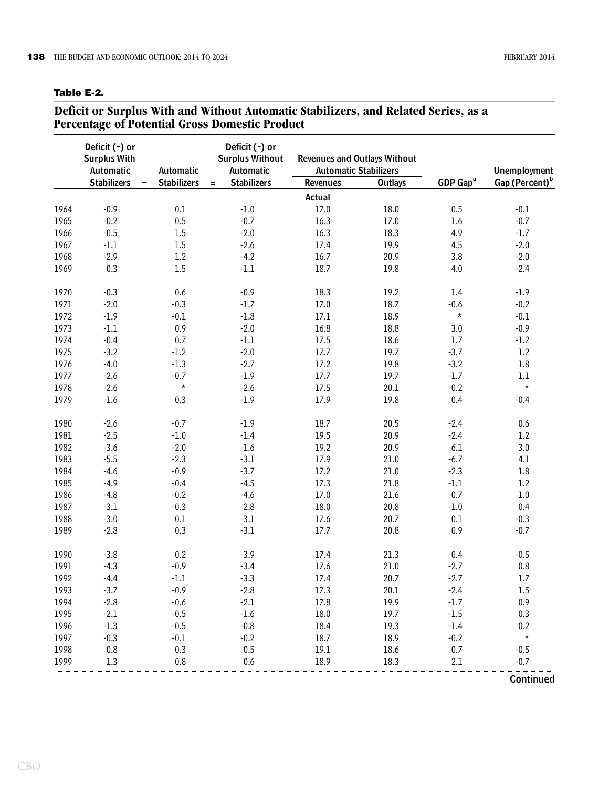#### <span id="page-3-0"></span>**Table E-2.**

#### **Deficit or Surplus With and Without Automatic Stabilizers, and Related Series, as a Percentage of Potential Gross Domestic Product**

|      | Deficit (-) or<br><b>Surplus With</b><br>Automatic<br>Automatic |                    | Deficit (-) or<br><b>Surplus Without</b><br><b>Automatic</b> | <b>Automatic Stabilizers</b> | <b>Revenues and Outlays Without</b> |                      | <b>Unemployment</b>        |  |
|------|-----------------------------------------------------------------|--------------------|--------------------------------------------------------------|------------------------------|-------------------------------------|----------------------|----------------------------|--|
|      | <b>Stabilizers</b>                                              | <b>Stabilizers</b> | <b>Stabilizers</b><br>$=$                                    | <b>Revenues</b>              | <b>Outlays</b>                      | GDP Gap <sup>a</sup> | Gap (Percent) <sup>b</sup> |  |
|      |                                                                 |                    |                                                              | Actual                       |                                     |                      |                            |  |
| 1964 | $-0.9$                                                          | 0.1                | $-1.0$                                                       | $17.0$                       | 18.0                                | 0.5                  | $-0.1$                     |  |
| 1965 | $-0.2$                                                          | $0.5\,$            | $-0.7$                                                       | 16.3                         | $17.0$                              | 1.6                  | $-0.7$                     |  |
| 1966 | $-0.5$                                                          | $1.5\,$            | $-2.0$                                                       | 16.3                         | 18.3                                | 4.9                  | $-1.7$                     |  |
| 1967 | $-1.1$                                                          | $1.5\,$            | $-2.6$                                                       | 17.4                         | 19.9                                | 4.5                  | $-2.0$                     |  |
| 1968 | $-2.9$                                                          | $1.2\,$            | $-4.2$                                                       | 16.7                         | 20.9                                | 3.8                  | $-2.0$                     |  |
| 1969 | 0.3                                                             | $1.5\,$            | $\text{-}1.1$                                                | 18.7                         | 19.8                                | 4.0                  | $-2.4$                     |  |
| 1970 | $-0.3$                                                          | 0.6                | $-0.9$                                                       | 18.3                         | 19.2                                | 1.4                  | $-1.9$                     |  |
| 1971 | $-2.0$                                                          | $-0.3$             | $-1.7$                                                       | 17.0                         | 18.7                                | $-0.6$               | $-0.2$                     |  |
| 1972 | $-1.9$                                                          | $-0.1$             | $\mbox{-}1.8$                                                | $17.1\,$                     | 18.9                                | $\star$              | $-0.1$                     |  |
| 1973 | $-1.1$                                                          | $0.9\,$            | $-2.0$                                                       | 16.8                         | 18.8                                | 3.0                  | $-0.9$                     |  |
| 1974 | $-0.4$                                                          | 0.7                | $\text{-}1.1$                                                | 17.5                         | 18.6                                | $1.7\,$              | $-1.2$                     |  |
| 1975 | $-3.2$                                                          | $-1.2$             | $-2.0$                                                       | $17.7$                       | 19.7                                | $-3.7$               | $1.2\,$                    |  |
| 1976 | $-4.0$                                                          | $-1.3$             | $-2.7$                                                       | 17.2                         | 19.8                                | $-3.2$               | $1.8\,$                    |  |
| 1977 | $-2.6$                                                          | $-0.7$             | $-1.9$                                                       | $17.7$                       | 19.7                                | $-1.7$               | $1.1\,$                    |  |
| 1978 | $-2.6$                                                          | $\star$            | $-2.6$                                                       | 17.5                         | 20.1                                | $-0.2$               | $\star$                    |  |
| 1979 | $-1.6$                                                          | 0.3                | $-1.9$                                                       | 17.9                         | 19.8                                | 0.4                  | $-0.4$                     |  |
| 1980 | $-2.6$                                                          | $-0.7$             | $-1.9$                                                       | 18.7                         | 20.5                                | $-2.4$               | 0.6                        |  |
| 1981 | $-2.5$                                                          | $\text{-}1.0$      | $-1.4$                                                       | 19.5                         | 20.9                                | $-2.4$               | $1.2\,$                    |  |
| 1982 | $-3.6$                                                          | $-2.0$             | $-1.6$                                                       | 19.2                         | 20.9                                | $-6.1$               | $3.0\,$                    |  |
| 1983 | $-5.5$                                                          | $-2.3$             | $-3.1$                                                       | 17.9                         | 21.0                                | $-6.7$               | 4.1                        |  |
| 1984 | $-4.6$                                                          | $-0.9$             | $-3.7$                                                       | 17.2                         | 21.0                                | $-2.3$               | $1.8\,$                    |  |
| 1985 | $-4.9$                                                          | $-0.4$             | $-4.5$                                                       | 17.3                         | 21.8                                | $\text{-}1.1$        | $1.2\,$                    |  |
| 1986 | $-4.8$                                                          | $-0.2$             | $-4.6$                                                       | $17.0$                       | 21.6                                | $-0.7$               | $1.0\,$                    |  |
| 1987 | $-3.1$                                                          | $-0.3$             | $-2.8$                                                       | 18.0                         | 20.8                                | $\text{-}1.0$        | 0.4                        |  |
| 1988 | $-3.0$                                                          | $0.1\,$            | $-3.1$                                                       | 17.6                         | 20.7                                | 0.1                  | $-0.3$                     |  |
| 1989 | $-2.8$                                                          | 0.3                | $-3.1$                                                       | 17.7                         | 20.8                                | 0.9                  | $-0.7$                     |  |
| 1990 | $-3.8$                                                          | 0.2                | $-3.9$                                                       | 17.4                         | 21.3                                | 0.4                  | $-0.5$                     |  |
| 1991 | $-4.3$                                                          | $-0.9$             | $-3.4$                                                       | 17.6                         | 21.0                                | $-2.7$               | $0.8\,$                    |  |
| 1992 | $-4.4$                                                          | $\text{-}1.1$      | $-3.3$                                                       | 17.4                         | 20.7                                | $-2.7$               | $1.7\,$                    |  |
| 1993 | $-3.7$                                                          | $-0.9$             | $-2.8$                                                       | 17.3                         | 20.1                                | $-2.4$               | 1.5                        |  |
| 1994 | $-2.8$                                                          | $-0.6$             | $-2.1$                                                       | 17.8                         | 19.9                                | $-1.7$               | 0.9                        |  |
| 1995 | $-2.1$                                                          | $-0.5$             | $-1.6$                                                       | 18.0                         | 19.7                                | $-1.5$               | 0.3                        |  |
| 1996 | $-1.3$                                                          | $-0.5$             | $-0.8$                                                       | 18.4                         | 19.3                                | $-1.4$               | 0.2                        |  |
| 1997 | $-0.3$                                                          | $-0.1$             | $-0.2$                                                       | 18.7                         | 18.9                                | $-0.2$               | $\star$                    |  |
| 1998 | 0.8                                                             | 0.3                | 0.5                                                          | 19.1                         | 18.6                                | 0.7                  | $-0.5$                     |  |
| 1999 | 1.3                                                             | 0.8                | 0.6                                                          | 18.9                         | 18.3                                | 2.1                  | $-0.7$                     |  |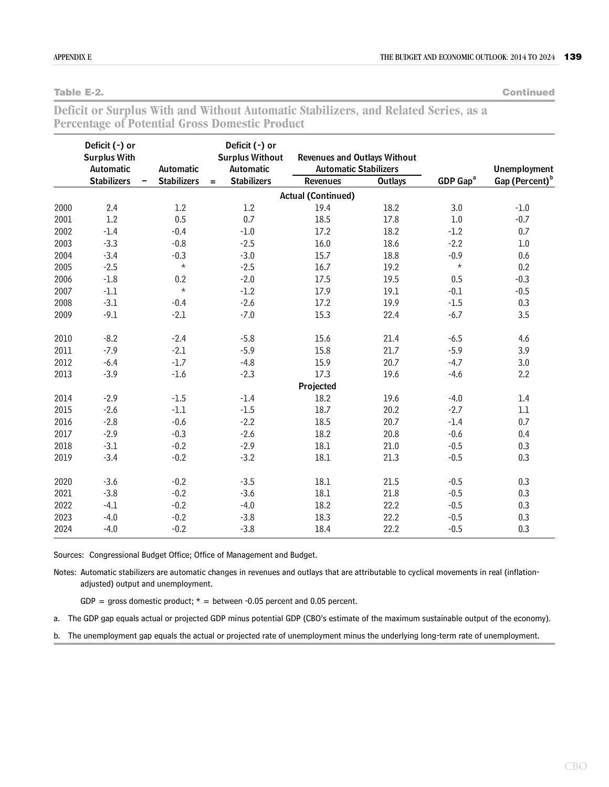**Table E-2. Continued**

| Deficit or Surplus With and Without Automatic Stabilizers, and Related Series, as a |  |  |  |  |  |  |
|-------------------------------------------------------------------------------------|--|--|--|--|--|--|
| <b>Percentage of Potential Gross Domestic Product</b>                               |  |  |  |  |  |  |

|      | Deficit (-) or<br><b>Surplus With</b><br>Automatic<br>Automatic |                    | Deficit (-) or<br><b>Surplus Without</b><br>Automatic |                    | <b>Revenues and Outlays Without</b><br><b>Automatic Stabilizers</b> |                |                      | <b>Unemployment</b>        |  |
|------|-----------------------------------------------------------------|--------------------|-------------------------------------------------------|--------------------|---------------------------------------------------------------------|----------------|----------------------|----------------------------|--|
|      | <b>Stabilizers</b>                                              | <b>Stabilizers</b> | $=$                                                   | <b>Stabilizers</b> | Revenues                                                            | <b>Outlays</b> | GDP Gap <sup>a</sup> | Gap (Percent) <sup>b</sup> |  |
|      |                                                                 |                    |                                                       |                    | <b>Actual (Continued)</b>                                           |                |                      |                            |  |
| 2000 | 2.4                                                             | 1.2                |                                                       | 1.2                | 19.4                                                                | 18.2           | 3.0                  | $-1.0$                     |  |
| 2001 | 1.2                                                             | 0.5                |                                                       | 0.7                | 18.5                                                                | 17.8           | $1.0\,$              | $-0.7$                     |  |
| 2002 | $-1.4$                                                          | $-0.4$             |                                                       | $\text{-}1.0$      | 17.2                                                                | 18.2           | $-1.2$               | 0.7                        |  |
| 2003 | $-3.3$                                                          | $-0.8$             |                                                       | $-2.5$             | 16.0                                                                | 18.6           | $-2.2$               | 1.0                        |  |
| 2004 | $-3.4$                                                          | $-0.3$             |                                                       | $-3.0$             | 15.7                                                                | 18.8           | $-0.9$               | 0.6                        |  |
| 2005 | $-2.5$                                                          | $\star$            |                                                       | $-2.5$             | 16.7                                                                | 19.2           | $^{\star}$           | 0.2                        |  |
| 2006 | $-1.8$                                                          | 0.2                |                                                       | $-2.0$             | 17.5                                                                | 19.5           | 0.5                  | $-0.3$                     |  |
| 2007 | $-1.1$                                                          | $\star$            |                                                       | $-1.2$             | 17.9                                                                | 19.1           | $-0.1$               | $-0.5$                     |  |
| 2008 | $-3.1$                                                          | $-0.4$             |                                                       | $-2.6$             | 17.2                                                                | 19.9           | $-1.5$               | 0.3                        |  |
| 2009 | $-9.1$                                                          | $-2.1$             |                                                       | $-7.0$             | 15.3                                                                | 22.4           | $-6.7$               | 3.5                        |  |
| 2010 | $-8.2$                                                          | $-2.4$             |                                                       | $-5.8$             | 15.6                                                                | 21.4           | $-6.5$               | 4.6                        |  |
| 2011 | $-7.9$                                                          | $-2.1$             |                                                       | $-5.9$             | 15.8                                                                | 21.7           | $-5.9$               | 3.9                        |  |
| 2012 | $-6.4$                                                          | $-1.7$             |                                                       | $-4.8$             | 15.9                                                                | 20.7           | $-4.7$               | 3.0                        |  |
| 2013 | $-3.9$                                                          | $-1.6$             |                                                       | $-2.3$             | 17.3                                                                | 19.6           | $-4.6$               | 2.2                        |  |
|      |                                                                 |                    |                                                       |                    | Projected                                                           |                |                      |                            |  |
| 2014 | $-2.9$                                                          | $-1.5$             |                                                       | $-1.4$             | 18.2                                                                | 19.6           | $-4.0$               | 1.4                        |  |
| 2015 | $-2.6$                                                          | $-1.1$             |                                                       | $-1.5$             | 18.7                                                                | 20.2           | $-2.7$               | $1.1\,$                    |  |
| 2016 | $-2.8$                                                          | $-0.6$             |                                                       | $-2.2$             | 18.5                                                                | 20.7           | $-1.4$               | 0.7                        |  |
| 2017 | $-2.9$                                                          | $-0.3$             |                                                       | $-2.6$             | 18.2                                                                | 20.8           | $-0.6$               | 0.4                        |  |
| 2018 | $-3.1$                                                          | $-0.2$             |                                                       | $-2.9$             | 18.1                                                                | 21.0           | $-0.5$               | 0.3                        |  |
| 2019 | $-3.4$                                                          | $-0.2$             |                                                       | $-3.2$             | $18.1\,$                                                            | 21.3           | $-0.5$               | 0.3                        |  |
| 2020 | $-3.6$                                                          | $-0.2$             |                                                       | $-3.5$             | $18.1\,$                                                            | 21.5           | $-0.5$               | 0.3                        |  |
| 2021 | $-3.8$                                                          | $-0.2$             |                                                       | $-3.6$             | 18.1                                                                | 21.8           | $-0.5$               | 0.3                        |  |
| 2022 | $-4.1$                                                          | $-0.2$             |                                                       | $-4.0$             | 18.2                                                                | 22.2           | $-0.5$               | 0.3                        |  |
| 2023 | $-4.0$                                                          | $-0.2$             |                                                       | $-3.8$             | 18.3                                                                | 22.2           | $-0.5$               | 0.3                        |  |
| 2024 | $-4.0$                                                          | $-0.2$             |                                                       | $-3.8$             | 18.4                                                                | 22.2           | $-0.5$               | 0.3                        |  |

Sources: Congressional Budget Office; Office of Management and Budget.

Notes: Automatic stabilizers are automatic changes in revenues and outlays that are attributable to cyclical movements in real (inflationadjusted) output and unemployment.

GDP = gross domestic product;  $*$  = between -0.05 percent and 0.05 percent.

a. The GDP gap equals actual or projected GDP minus potential GDP (CBO's estimate of the maximum sustainable output of the economy).

b. The unemployment gap equals the actual or projected rate of unemployment minus the underlying long-term rate of unemployment.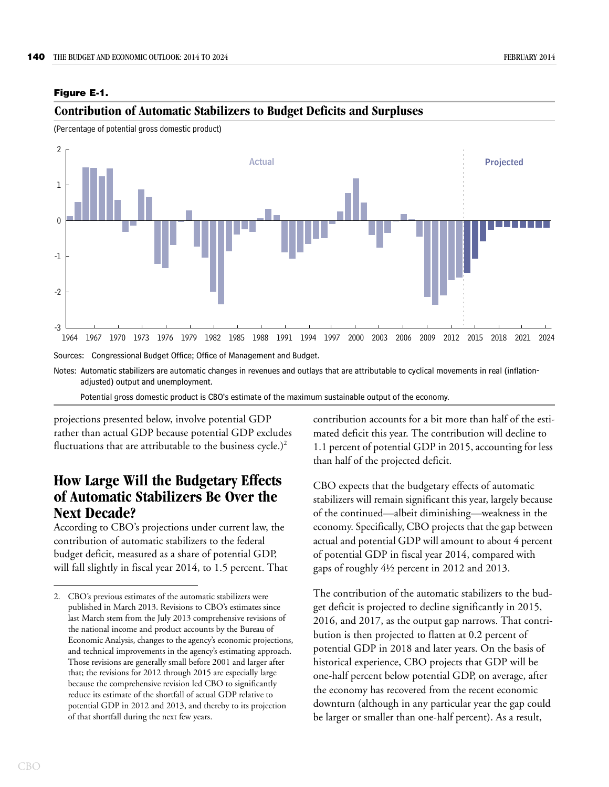#### <span id="page-5-0"></span>**Figure E-1.**

Sources: Congressional Budget Office; Office of Management and Budget. 1964 1967 1970 1973 1976 1979 1982 1985 1988 1991 1994 1997 2000 2003 2006 2009 2012 2015 2018 2021 2024 -3 -2 -1  $\theta$ 1 2 **Actual Projected**

**Contribution of Automatic Stabilizers to Budget Deficits and Surpluses**

(Percentage of potential gross domestic product)

Notes: Automatic stabilizers are automatic changes in revenues and outlays that are attributable to cyclical movements in real (inflationadjusted) output and unemployment.

Potential gross domestic product is CBO's estimate of the maximum sustainable output of the economy.

projections presented below, involve potential GDP rather than actual GDP because potential GDP excludes fluctuations that are attributable to the business cycle.) $^2$ 

# **How Large Will the Budgetary Effects of Automatic Stabilizers Be Over the Next Decade?**

According to CBO's projections under current law, the contribution of automatic stabilizers to the federal budget deficit, measured as a share of potential GDP, will fall slightly in fiscal year 2014, to 1.5 percent. That contribution accounts for a bit more than half of the estimated deficit this year. The contribution will decline to 1.1 percent of potential GDP in 2015, accounting for less than half of the projected deficit.

CBO expects that the budgetary effects of automatic stabilizers will remain significant this year, largely because of the continued—albeit diminishing—weakness in the economy. Specifically, CBO projects that the gap between actual and potential GDP will amount to about 4 percent of potential GDP in fiscal year 2014, compared with gaps of roughly 4½ percent in 2012 and 2013.

The contribution of the automatic stabilizers to the budget deficit is projected to decline significantly in 2015, 2016, and 2017, as the output gap narrows. That contribution is then projected to flatten at 0.2 percent of potential GDP in 2018 and later years. On the basis of historical experience, CBO projects that GDP will be one-half percent below potential GDP, on average, after the economy has recovered from the recent economic downturn (although in any particular year the gap could be larger or smaller than one-half percent). As a result,

<sup>2.</sup> CBO's previous estimates of the automatic stabilizers were published in March 2013. Revisions to CBO's estimates since last March stem from the July 2013 comprehensive revisions of the national income and product accounts by the Bureau of Economic Analysis, changes to the agency's economic projections, and technical improvements in the agency's estimating approach. Those revisions are generally small before 2001 and larger after that; the revisions for 2012 through 2015 are especially large because the comprehensive revision led CBO to significantly reduce its estimate of the shortfall of actual GDP relative to potential GDP in 2012 and 2013, and thereby to its projection of that shortfall during the next few years.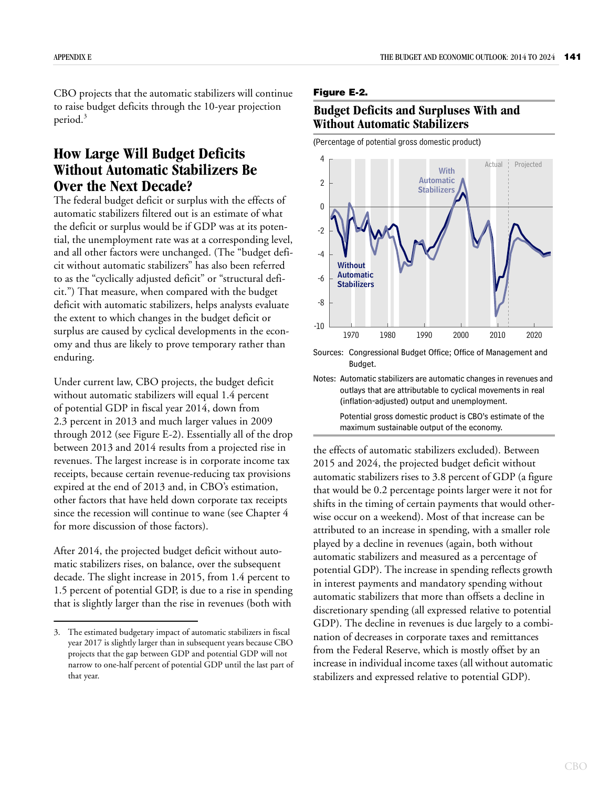CBO projects that the automatic stabilizers will continue to raise budget deficits through the 10-year projection period.<sup>3</sup>

## **How Large Will Budget Deficits Without Automatic Stabilizers Be Over the Next Decade?**

The federal budget deficit or surplus with the effects of automatic stabilizers filtered out is an estimate of what the deficit or surplus would be if GDP was at its potential, the unemployment rate was at a corresponding level, and all other factors were unchanged. (The "budget deficit without automatic stabilizers" has also been referred to as the "cyclically adjusted deficit" or "structural deficit.") That measure, when compared with the budget deficit with automatic stabilizers, helps analysts evaluate the extent to which changes in the budget deficit or surplus are caused by cyclical developments in the economy and thus are likely to prove temporary rather than enduring.

Under current law, CBO projects, the budget deficit without automatic stabilizers will equal 1.4 percent of potential GDP in fiscal year 2014, down from 2.3 percent in 2013 and much larger values in 2009 through 2012 (see [Figure E-2\)](#page-6-0). Essentially all of the drop between 2013 and 2014 results from a projected rise in revenues. The largest increase is in corporate income tax receipts, because certain revenue-reducing tax provisions expired at the end of 2013 and, in CBO's estimation, other factors that have held down corporate tax receipts since the recession will continue to wane (see Chapter 4 for more discussion of those factors).

After 2014, the projected budget deficit without automatic stabilizers rises, on balance, over the subsequent decade. The slight increase in 2015, from 1.4 percent to 1.5 percent of potential GDP, is due to a rise in spending that is slightly larger than the rise in revenues (both with

#### <span id="page-6-0"></span>**Figure E-2.**

#### **Budget Deficits and Surpluses With and Without Automatic Stabilizers**

(Percentage of potential gross domestic product)



Sources: Congressional Budget Office; Office of Management and Budget.

Notes: Automatic stabilizers are automatic changes in revenues and outlays that are attributable to cyclical movements in real (inflation-adjusted) output and unemployment. Potential gross domestic product is CBO's estimate of the maximum sustainable output of the economy.

the effects of automatic stabilizers excluded). Between 2015 and 2024, the projected budget deficit without automatic stabilizers rises to 3.8 percent of GDP (a figure that would be 0.2 percentage points larger were it not for shifts in the timing of certain payments that would otherwise occur on a weekend). Most of that increase can be attributed to an increase in spending, with a smaller role played by a decline in revenues (again, both without automatic stabilizers and measured as a percentage of potential GDP). The increase in spending reflects growth in interest payments and mandatory spending without automatic stabilizers that more than offsets a decline in discretionary spending (all expressed relative to potential GDP). The decline in revenues is due largely to a combination of decreases in corporate taxes and remittances from the Federal Reserve, which is mostly offset by an increase in individual income taxes (all without automatic stabilizers and expressed relative to potential GDP).

<sup>3.</sup> The estimated budgetary impact of automatic stabilizers in fiscal year 2017 is slightly larger than in subsequent years because CBO projects that the gap between GDP and potential GDP will not narrow to one-half percent of potential GDP until the last part of that year.